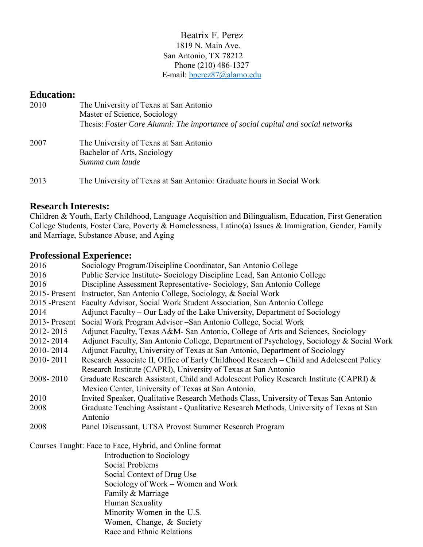### Beatrix F. Perez 1819 N. Main Ave. San Antonio, TX 78212 Phone (210) 486-1327 E-mail: [bperez87@alamo.edu](mailto:bperez87@alamo.edu)

# **Education:**

| 2010 | The University of Texas at San Antonio<br>Master of Science, Sociology<br>Thesis: Foster Care Alumni: The importance of social capital and social networks |
|------|------------------------------------------------------------------------------------------------------------------------------------------------------------|
| 2007 | The University of Texas at San Antonio<br>Bachelor of Arts, Sociology<br>Summa cum laude                                                                   |
| 2013 | The University of Texas at San Antonio: Graduate hours in Social Work                                                                                      |

# **Research Interests:**

Children & Youth, Early Childhood, Language Acquisition and Bilingualism, Education, First Generation College Students, Foster Care, Poverty & Homelessness, Latino(a) Issues & Immigration, Gender, Family and Marriage, Substance Abuse, and Aging

# **Professional Experience:**

| 2016         | Sociology Program/Discipline Coordinator, San Antonio College                           |
|--------------|-----------------------------------------------------------------------------------------|
| 2016         | Public Service Institute- Sociology Discipline Lead, San Antonio College                |
| 2016         | Discipline Assessment Representative- Sociology, San Antonio College                    |
|              | 2015- Present Instructor, San Antonio College, Sociology, & Social Work                 |
|              | 2015 -Present Faculty Advisor, Social Work Student Association, San Antonio College     |
| 2014         | Adjunct Faculty – Our Lady of the Lake University, Department of Sociology              |
| 2013-Present | Social Work Program Advisor - San Antonio College, Social Work                          |
| 2012-2015    | Adjunct Faculty, Texas A&M- San Antonio, College of Arts and Sciences, Sociology        |
| 2012-2014    | Adjunct Faculty, San Antonio College, Department of Psychology, Sociology & Social Work |
| 2010-2014    | Adjunct Faculty, University of Texas at San Antonio, Department of Sociology            |
| 2010-2011    | Research Associate II, Office of Early Childhood Research - Child and Adolescent Policy |
|              | Research Institute (CAPRI), University of Texas at San Antonio                          |
| 2008-2010    | Graduate Research Assistant, Child and Adolescent Policy Research Institute (CAPRI) &   |
|              | Mexico Center, University of Texas at San Antonio.                                      |
| 2010         | Invited Speaker, Qualitative Research Methods Class, University of Texas San Antonio    |
| 2008         | Graduate Teaching Assistant - Qualitative Research Methods, University of Texas at San  |
|              | Antonio                                                                                 |
| 2008         | Panel Discussant, UTSA Provost Summer Research Program                                  |
|              | Courses Taught: Face to Face, Hybrid, and Online format                                 |
|              | Introduction to Sociology                                                               |
|              | Social Problems                                                                         |
|              | Social Context of Drug Use                                                              |
|              | Sociology of Work – Women and Work                                                      |
|              | Family & Marriage                                                                       |
|              | Human Sexuality                                                                         |
|              | Minority Women in the U.S.                                                              |
|              | Women, Change, & Society                                                                |
|              | Race and Ethnic Relations                                                               |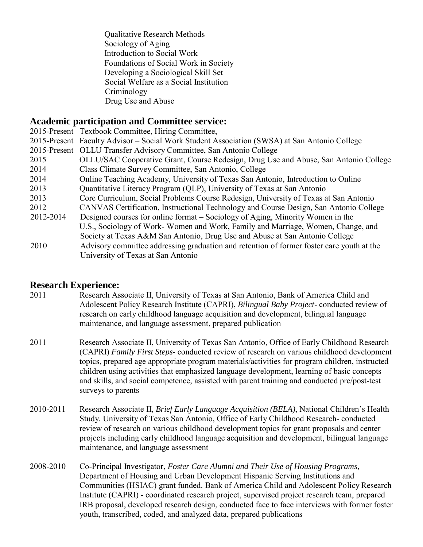Qualitative Research Methods Sociology of Aging Introduction to Social Work Foundations of Social Work in Society Developing a Sociological Skill Set Social Welfare as a Social Institution Criminology Drug Use and Abuse

## **Academic participation and Committee service:**

|           | 2015-Present Textbook Committee, Hiring Committee,                                           |
|-----------|----------------------------------------------------------------------------------------------|
|           | 2015-Present Faculty Advisor - Social Work Student Association (SWSA) at San Antonio College |
|           | 2015-Present OLLU Transfer Advisory Committee, San Antonio College                           |
| 2015      | OLLU/SAC Cooperative Grant, Course Redesign, Drug Use and Abuse, San Antonio College         |
| 2014      | Class Climate Survey Committee, San Antonio, College                                         |
| 2014      | Online Teaching Academy, University of Texas San Antonio, Introduction to Online             |
| 2013      | Quantitative Literacy Program (QLP), University of Texas at San Antonio                      |
| 2013      | Core Curriculum, Social Problems Course Redesign, University of Texas at San Antonio         |
| 2012      | CANVAS Certification, Instructional Technology and Course Design, San Antonio College        |
| 2012-2014 | Designed courses for online format – Sociology of Aging, Minority Women in the               |
|           | U.S., Sociology of Work-Women and Work, Family and Marriage, Women, Change, and              |
|           | Society at Texas A&M San Antonio, Drug Use and Abuse at San Antonio College                  |
| 2010      | Advisory committee addressing graduation and retention of former foster care youth at the    |
|           | University of Texas at San Antonio                                                           |

### **Research Experience:**

- 2011 Research Associate II, University of Texas at San Antonio, Bank of America Child and Adolescent Policy Research Institute (CAPRI), *Bilingual Baby Project*- conducted review of research on early childhood language acquisition and development, bilingual language maintenance, and language assessment, prepared publication
- 2011 Research Associate II, University of Texas San Antonio, Office of Early Childhood Research (CAPRI) *Family First Steps*- conducted review of research on various childhood development topics, prepared age appropriate program materials/activities for program children, instructed children using activities that emphasized language development, learning of basic concepts and skills, and social competence, assisted with parent training and conducted pre/post-test surveys to parents
- 2010-2011 Research Associate II, *Brief Early Language Acquisition (BELA)*, National Children's Health Study. University of Texas San Antonio, Office of Early Childhood Research- conducted review of research on various childhood development topics for grant proposals and center projects including early childhood language acquisition and development, bilingual language maintenance, and language assessment
- 2008-2010 Co-Principal Investigator, *Foster Care Alumni and Their Use of Housing Programs*, Department of Housing and Urban Development Hispanic Serving Institutions and Communities (HSIAC) grant funded. Bank of America Child and Adolescent Policy Research Institute (CAPRI) - coordinated research project, supervised project research team, prepared IRB proposal, developed research design, conducted face to face interviews with former foster youth, transcribed, coded, and analyzed data, prepared publications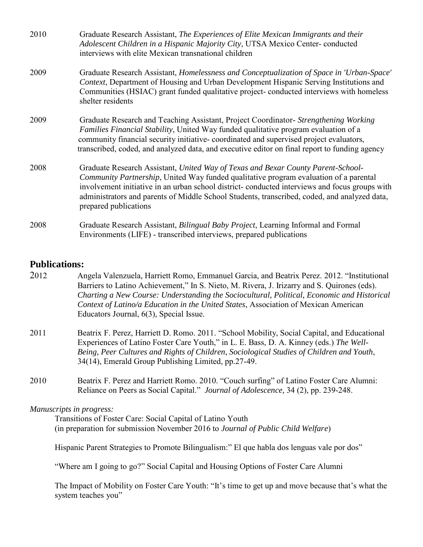| 2010 | Graduate Research Assistant, The Experiences of Elite Mexican Immigrants and their<br>Adolescent Children in a Hispanic Majority City, UTSA Mexico Center-conducted<br>interviews with elite Mexican transnational children                                                                                                                                                                                  |
|------|--------------------------------------------------------------------------------------------------------------------------------------------------------------------------------------------------------------------------------------------------------------------------------------------------------------------------------------------------------------------------------------------------------------|
| 2009 | Graduate Research Assistant, Homelessness and Conceptualization of Space in 'Urban-Space'<br>Context, Department of Housing and Urban Development Hispanic Serving Institutions and<br>Communities (HSIAC) grant funded qualitative project-conducted interviews with homeless<br>shelter residents                                                                                                          |
| 2009 | Graduate Research and Teaching Assistant, Project Coordinator- Strengthening Working<br>Families Financial Stability, United Way funded qualitative program evaluation of a<br>community financial security initiative-coordinated and supervised project evaluators,<br>transcribed, coded, and analyzed data, and executive editor on final report to funding agency                                       |
| 2008 | Graduate Research Assistant, United Way of Texas and Bexar County Parent-School-<br><i>Community Partnership</i> , United Way funded qualitative program evaluation of a parental<br>involvement initiative in an urban school district- conducted interviews and focus groups with<br>administrators and parents of Middle School Students, transcribed, coded, and analyzed data,<br>prepared publications |
| 2008 | Graduate Research Assistant, Bilingual Baby Project, Learning Informal and Formal<br>Environments (LIFE) - transcribed interviews, prepared publications                                                                                                                                                                                                                                                     |

### **Publications:**

- 2012 Angela Valenzuela, Harriett Romo, Emmanuel Garcia, and Beatrix Perez. 2012. "Institutional Barriers to Latino Achievement," In S. Nieto, M. Rivera, J. Irizarry and S. Quirones (eds). *Charting a New Course: Understanding the Sociocultural, Political, Economic and Historical Context of Latino/a Education in the United States*, Association of Mexican American Educators Journal, 6(3), Special Issue.
- 2011 Beatrix F. Perez, Harriett D. Romo. 2011. "School Mobility, Social Capital, and Educational Experiences of Latino Foster Care Youth," in L. E. Bass, D. A. Kinney (eds.) *The Well-Being, Peer Cultures and Rights of Children*, *Sociological Studies of Children and Youth*, 34(14), Emerald Group Publishing Limited, pp.27-49.
- 2010 Beatrix F. Perez and Harriett Romo. 2010. "Couch surfing" of Latino Foster Care Alumni: Reliance on Peers as Social Capital." *Journal of Adolescence,* 34 (2), pp. 239-248.

#### *Manuscripts in progress:*

Transitions of Foster Care: Social Capital of Latino Youth (in preparation for submission November 2016 to *Journal of Public Child Welfare*)

Hispanic Parent Strategies to Promote Bilingualism:" El que habla dos lenguas vale por dos"

"Where am I going to go?" Social Capital and Housing Options of Foster Care Alumni

The Impact of Mobility on Foster Care Youth: "It's time to get up and move because that's what the system teaches you"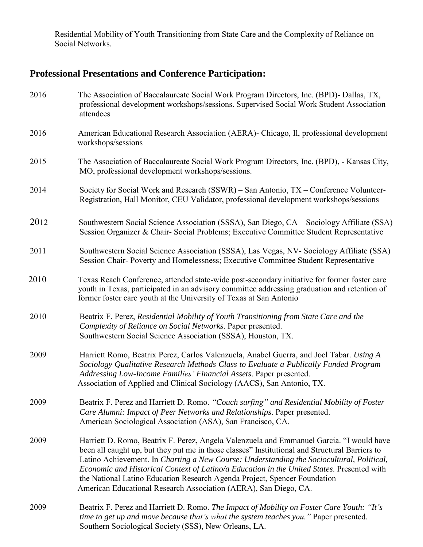Residential Mobility of Youth Transitioning from State Care and the Complexity of Reliance on Social Networks.

# **Professional Presentations and Conference Participation:**

| 2016 | The Association of Baccalaureate Social Work Program Directors, Inc. (BPD)- Dallas, TX,<br>professional development workshops/sessions. Supervised Social Work Student Association<br>attendees                                                                                                                                                                                                                                                                                                                                        |
|------|----------------------------------------------------------------------------------------------------------------------------------------------------------------------------------------------------------------------------------------------------------------------------------------------------------------------------------------------------------------------------------------------------------------------------------------------------------------------------------------------------------------------------------------|
| 2016 | American Educational Research Association (AERA) - Chicago, Il, professional development<br>workshops/sessions                                                                                                                                                                                                                                                                                                                                                                                                                         |
| 2015 | The Association of Baccalaureate Social Work Program Directors, Inc. (BPD), - Kansas City,<br>MO, professional development workshops/sessions.                                                                                                                                                                                                                                                                                                                                                                                         |
| 2014 | Society for Social Work and Research (SSWR) – San Antonio, TX – Conference Volunteer-<br>Registration, Hall Monitor, CEU Validator, professional development workshops/sessions                                                                                                                                                                                                                                                                                                                                                        |
| 2012 | Southwestern Social Science Association (SSSA), San Diego, CA - Sociology Affiliate (SSA)<br>Session Organizer & Chair-Social Problems; Executive Committee Student Representative                                                                                                                                                                                                                                                                                                                                                     |
| 2011 | Southwestern Social Science Association (SSSA), Las Vegas, NV- Sociology Affiliate (SSA)<br>Session Chair-Poverty and Homelessness; Executive Committee Student Representative                                                                                                                                                                                                                                                                                                                                                         |
| 2010 | Texas Reach Conference, attended state-wide post-secondary initiative for former foster care<br>youth in Texas, participated in an advisory committee addressing graduation and retention of<br>former foster care youth at the University of Texas at San Antonio                                                                                                                                                                                                                                                                     |
| 2010 | Beatrix F. Perez, Residential Mobility of Youth Transitioning from State Care and the<br>Complexity of Reliance on Social Networks. Paper presented.<br>Southwestern Social Science Association (SSSA), Houston, TX.                                                                                                                                                                                                                                                                                                                   |
| 2009 | Harriett Romo, Beatrix Perez, Carlos Valenzuela, Anabel Guerra, and Joel Tabar. Using A<br>Sociology Qualitative Research Methods Class to Evaluate a Publically Funded Program<br>Addressing Low-Income Families' Financial Assets. Paper presented.<br>Association of Applied and Clinical Sociology (AACS), San Antonio, TX.                                                                                                                                                                                                        |
| 2009 | Beatrix F. Perez and Harriett D. Romo. "Couch surfing" and Residential Mobility of Foster<br>Care Alumni: Impact of Peer Networks and Relationships. Paper presented.<br>American Sociological Association (ASA), San Francisco, CA.                                                                                                                                                                                                                                                                                                   |
| 2009 | Harriett D. Romo, Beatrix F. Perez, Angela Valenzuela and Emmanuel Garcia. "I would have<br>been all caught up, but they put me in those classes" Institutional and Structural Barriers to<br>Latino Achievement. In Charting a New Course: Understanding the Sociocultural, Political,<br>Economic and Historical Context of Latino/a Education in the United States. Presented with<br>the National Latino Education Research Agenda Project, Spencer Foundation<br>American Educational Research Association (AERA), San Diego, CA. |
| 2009 | Beatrix F. Perez and Harriett D. Romo. The Impact of Mobility on Foster Care Youth: "It's<br>time to get up and move because that's what the system teaches you." Paper presented.<br>Southern Sociological Society (SSS), New Orleans, LA.                                                                                                                                                                                                                                                                                            |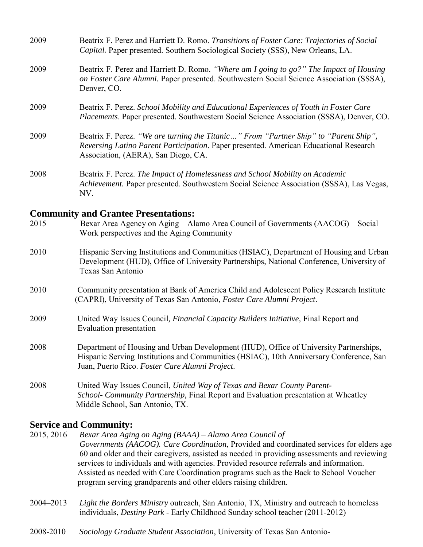| 2009                                        | Beatrix F. Perez and Harriett D. Romo. Transitions of Foster Care: Trajectories of Social<br>Capital. Paper presented. Southern Sociological Society (SSS), New Orleans, LA.                                         |
|---------------------------------------------|----------------------------------------------------------------------------------------------------------------------------------------------------------------------------------------------------------------------|
| 2009                                        | Beatrix F. Perez and Harriett D. Romo. "Where am I going to go?" The Impact of Housing<br>on Foster Care Alumni. Paper presented. Southwestern Social Science Association (SSSA),<br>Denver, CO.                     |
| 2009                                        | Beatrix F. Perez. School Mobility and Educational Experiences of Youth in Foster Care<br>Placements. Paper presented. Southwestern Social Science Association (SSSA), Denver, CO.                                    |
| 2009                                        | Beatrix F. Perez. "We are turning the Titanic" From "Partner Ship" to "Parent Ship",<br>Reversing Latino Parent Participation. Paper presented. American Educational Research<br>Association, (AERA), San Diego, CA. |
| 2008                                        | Beatrix F. Perez. The Impact of Homelessness and School Mobility on Academic<br>Achievement. Paper presented. Southwestern Social Science Association (SSSA), Las Vegas,<br>NV.                                      |
| <b>Community and Grantee Presentations:</b> |                                                                                                                                                                                                                      |

#### 2015 Bexar Area Agency on Aging – Alamo Area Council of Governments (AACOG) – Social Work perspectives and the Aging Community

- 2010 Hispanic Serving Institutions and Communities (HSIAC), Department of Housing and Urban Development (HUD), Office of University Partnerships, National Conference, University of Texas San Antonio
- 2010 Community presentation at Bank of America Child and Adolescent Policy Research Institute (CAPRI), University of Texas San Antonio, *Foster Care Alumni Project*.
- 2009 United Way Issues Council*, Financial Capacity Builders Initiative,* Final Report and Evaluation presentation
- 2008 Department of Housing and Urban Development (HUD), Office of University Partnerships, Hispanic Serving Institutions and Communities (HSIAC), 10th Anniversary Conference, San Juan, Puerto Rico. *Foster Care Alumni Project*.
- 2008 United Way Issues Council, *United Way of Texas and Bexar County Parent-School- Community Partnership,* Final Report and Evaluation presentation at Wheatley Middle School, San Antonio, TX.

### **Service and Community:**

- 2015, 2016 *Bexar Area Aging on Aging (BAAA) – Alamo Area Council of Governments (AACOG). Care Coordination*, Provided and coordinated services for elders age 60 and older and their caregivers, assisted as needed in providing assessments and reviewing services to individuals and with agencies. Provided resource referrals and information. Assisted as needed with Care Coordination programs such as the Back to School Voucher program serving grandparents and other elders raising children.
- 2004–2013 *Light the Borders Ministry* outreach, San Antonio, TX, Ministry and outreach to homeless individuals, *Destiny Park* - Early Childhood Sunday school teacher (2011-2012)
- 2008-2010 *Sociology Graduate Student Association*, University of Texas San Antonio-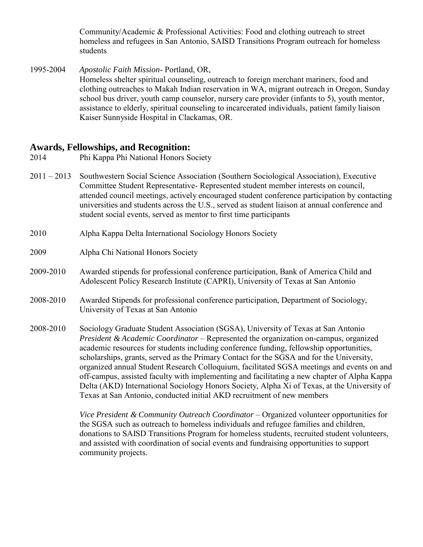Community/Academic & Professional Activities: Food and clothing outreach to street homeless and refugees in San Antonio, SAISD Transitions Program outreach for homeless students

1995-2004 *Apostolic Faith Mission*- Portland, OR,

Homeless shelter spiritual counseling, outreach to foreign merchant mariners, food and clothing outreaches to Makah Indian reservation in WA, migrant outreach in Oregon, Sunday school bus driver, youth camp counselor, nursery care provider (infants to 5), youth mentor, assistance to elderly, spiritual counseling to incarcerated individuals, patient family liaison Kaiser Sunnyside Hospital in Clackamas, OR.

### **Awards, Fellowships, and Recognition:**

- 2014 Phi Kappa Phi National Honors Society
- 2011 2013 Southwestern Social Science Association (Southern Sociological Association), Executive Committee Student Representative- Represented student member interests on council, attended council meetings, actively encouraged student conference participation by contacting universities and students across the U.S., served as student liaison at annual conference and student social events, served as mentor to first time participants
- 2010 Alpha Kappa Delta International Sociology Honors Society
- 2009 Alpha Chi National Honors Society
- 2009-2010 Awarded stipends for professional conference participation, Bank of America Child and Adolescent Policy Research Institute (CAPRI), University of Texas at San Antonio
- 2008-2010 Awarded Stipends for professional conference participation, Department of Sociology, University of Texas at San Antonio
- 2008-2010 Sociology Graduate Student Association (SGSA), University of Texas at San Antonio *President & Academic Coordinator* – Represented the organization on-campus, organized academic resources for students including conference funding, fellowship opportunities, scholarships, grants, served as the Primary Contact for the SGSA and for the University, organized annual Student Research Colloquium, facilitated SGSA meetings and events on and off-campus, assisted faculty with implementing and facilitating a new chapter of Alpha Kappa Delta (AKD) International Sociology Honors Society, Alpha Xi of Texas, at the University of Texas at San Antonio, conducted initial AKD recruitment of new members

*Vice President & Community Outreach Coordinator* – Organized volunteer opportunities for the SGSA such as outreach to homeless individuals and refugee families and children, donations to SAISD Transitions Program for homeless students, recruited student volunteers, and assisted with coordination of social events and fundraising opportunities to support community projects.